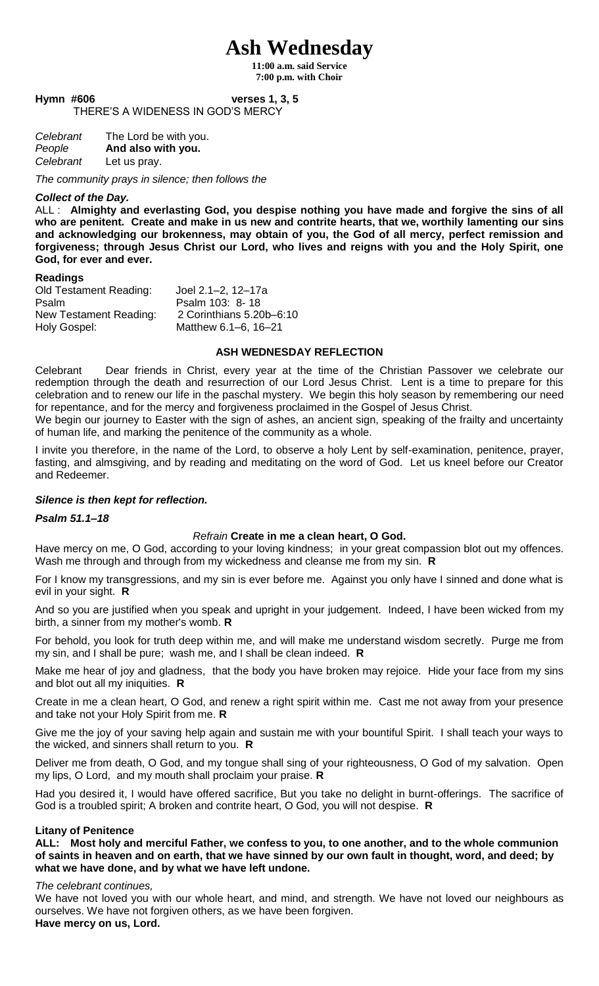# **Ash Wednesday**

**11:00 a.m. said Service 7:00 p.m. with Choir**

**Hymn #606 verses 1, 3, 5** THERE'S A WIDENESS IN GOD'S MERCY

| Celebrant | The Lord be with you. |
|-----------|-----------------------|
| People    | And also with you.    |
| Celebrant | Let us pray.          |

*The community prays in silence; then follows the* 

## *Collect of the Day.*

ALL : **Almighty and everlasting God, you despise nothing you have made and forgive the sins of all who are penitent. Create and make in us new and contrite hearts, that we, worthily lamenting our sins and acknowledging our brokenness, may obtain of you, the God of all mercy, perfect remission and forgiveness; through Jesus Christ our Lord, who lives and reigns with you and the Holy Spirit, one God, for ever and ever.**

### **Readings**

| <b>Old Testament Reading:</b> | Joel 2.1-2, 12-17a       |
|-------------------------------|--------------------------|
| Psalm                         | Psalm 103: 8-18          |
| New Testament Reading:        | 2 Corinthians 5.20b-6:10 |
| Holy Gospel:                  | Matthew 6.1-6, 16-21     |

## **ASH WEDNESDAY REFLECTION**

Celebrant Dear friends in Christ, every year at the time of the Christian Passover we celebrate our redemption through the death and resurrection of our Lord Jesus Christ. Lent is a time to prepare for this celebration and to renew our life in the paschal mystery. We begin this holy season by remembering our need for repentance, and for the mercy and forgiveness proclaimed in the Gospel of Jesus Christ.

We begin our journey to Easter with the sign of ashes, an ancient sign, speaking of the frailty and uncertainty of human life, and marking the penitence of the community as a whole.

I invite you therefore, in the name of the Lord, to observe a holy Lent by self-examination, penitence, prayer, fasting, and almsgiving, and by reading and meditating on the word of God. Let us kneel before our Creator and Redeemer.

## *Silence is then kept for reflection.*

*Psalm 51.1–18* 

## *Refrain* **Create in me a clean heart, O God.**

Have mercy on me, O God, according to your loving kindness; in your great compassion blot out my offences. Wash me through and through from my wickedness and cleanse me from my sin. **R**

For I know my transgressions, and my sin is ever before me. Against you only have I sinned and done what is evil in your sight. **R**

And so you are justified when you speak and upright in your judgement. Indeed, I have been wicked from my birth, a sinner from my mother's womb. **R**

For behold, you look for truth deep within me, and will make me understand wisdom secretly. Purge me from my sin, and I shall be pure; wash me, and I shall be clean indeed. **R**

Make me hear of joy and gladness, that the body you have broken may rejoice. Hide your face from my sins and blot out all my iniquities. **R**

Create in me a clean heart, O God, and renew a right spirit within me. Cast me not away from your presence and take not your Holy Spirit from me. **R**

Give me the joy of your saving help again and sustain me with your bountiful Spirit. I shall teach your ways to the wicked, and sinners shall return to you. **R**

Deliver me from death, O God, and my tongue shall sing of your righteousness, O God of my salvation. Open my lips, O Lord, and my mouth shall proclaim your praise. **R**

Had you desired it, I would have offered sacrifice, But you take no delight in burnt-offerings. The sacrifice of God is a troubled spirit; A broken and contrite heart, O God, you will not despise. **R**

## **Litany of Penitence**

**ALL: Most holy and merciful Father, we confess to you, to one another, and to the whole communion of saints in heaven and on earth, that we have sinned by our own fault in thought, word, and deed; by what we have done, and by what we have left undone.**

### *The celebrant continues,*

We have not loved you with our whole heart, and mind, and strength. We have not loved our neighbours as ourselves. We have not forgiven others, as we have been forgiven. **Have mercy on us, Lord.**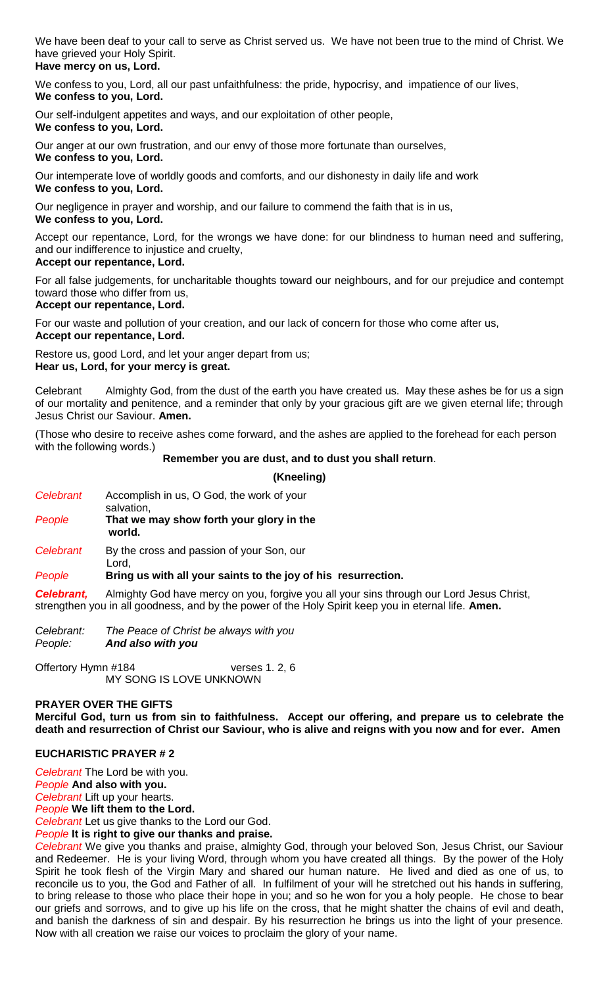We have been deaf to your call to serve as Christ served us. We have not been true to the mind of Christ. We have grieved your Holy Spirit. **Have mercy on us, Lord.**

We confess to you, Lord, all our past unfaithfulness: the pride, hypocrisy, and impatience of our lives, **We confess to you, Lord.**

Our self-indulgent appetites and ways, and our exploitation of other people, **We confess to you, Lord.**

Our anger at our own frustration, and our envy of those more fortunate than ourselves, **We confess to you, Lord.**

Our intemperate love of worldly goods and comforts, and our dishonesty in daily life and work **We confess to you, Lord.**

Our negligence in prayer and worship, and our failure to commend the faith that is in us, **We confess to you, Lord.**

Accept our repentance, Lord, for the wrongs we have done: for our blindness to human need and suffering, and our indifference to injustice and cruelty,

**Accept our repentance, Lord.**

For all false judgements, for uncharitable thoughts toward our neighbours, and for our prejudice and contempt toward those who differ from us,

**Accept our repentance, Lord.**

For our waste and pollution of your creation, and our lack of concern for those who come after us, **Accept our repentance, Lord.**

Restore us, good Lord, and let your anger depart from us; **Hear us, Lord, for your mercy is great.**

Celebrant Almighty God, from the dust of the earth you have created us. May these ashes be for us a sign of our mortality and penitence, and a reminder that only by your gracious gift are we given eternal life; through Jesus Christ our Saviour. **Amen.**

(Those who desire to receive ashes come forward, and the ashes are applied to the forehead for each person with the following words.)

## **Remember you are dust, and to dust you shall return**.

# **(Kneeling)**

*Celebrant* Accomplish in us, O God, the work of your

#### salvation, *People* **That we may show forth your glory in the**  **world.**

**Celebrant** By the cross and passion of your Son, our

Lord,

# *People* **Bring us with all your saints to the joy of his resurrection.**

*Celebrant,* Almighty God have mercy on you, forgive you all your sins through our Lord Jesus Christ, strengthen you in all goodness, and by the power of the Holy Spirit keep you in eternal life. **Amen.**

*Celebrant: The Peace of Christ be always with you People: And also with you*

Offertory Hymn #184 verses 1. 2, 6 MY SONG IS LOVE UNKNOWN

# **PRAYER OVER THE GIFTS**

**Merciful God, turn us from sin to faithfulness. Accept our offering, and prepare us to celebrate the death and resurrection of Christ our Saviour, who is alive and reigns with you now and for ever. Amen**

## **EUCHARISTIC PRAYER # 2**

*Celebrant* The Lord be with you. *People* **And also with you.** *Celebrant* Lift up your hearts. *People* **We lift them to the Lord.** *Celebrant* Let us give thanks to the Lord our God. *People* **It is right to give our thanks and praise.**

*Celebrant* We give you thanks and praise, almighty God, through your beloved Son, Jesus Christ, our Saviour and Redeemer. He is your living Word, through whom you have created all things. By the power of the Holy Spirit he took flesh of the Virgin Mary and shared our human nature. He lived and died as one of us, to reconcile us to you, the God and Father of all. In fulfilment of your will he stretched out his hands in suffering, to bring release to those who place their hope in you; and so he won for you a holy people. He chose to bear our griefs and sorrows, and to give up his life on the cross, that he might shatter the chains of evil and death, and banish the darkness of sin and despair. By his resurrection he brings us into the light of your presence. Now with all creation we raise our voices to proclaim the glory of your name.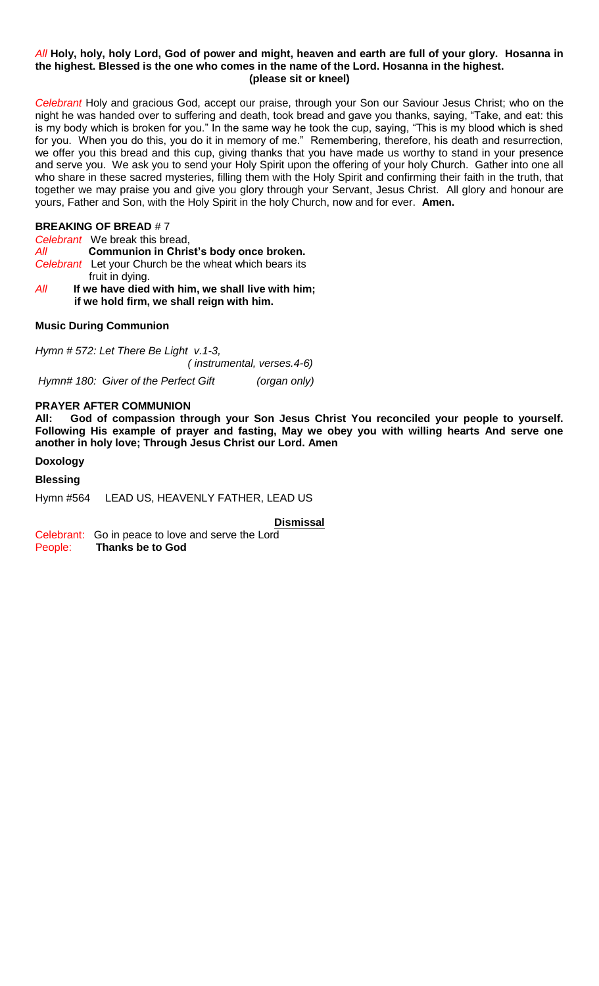#### *All* **Holy, holy, holy Lord, God of power and might, heaven and earth are full of your glory. Hosanna in the highest. Blessed is the one who comes in the name of the Lord. Hosanna in the highest. (please sit or kneel)**

*Celebrant* Holy and gracious God, accept our praise, through your Son our Saviour Jesus Christ; who on the night he was handed over to suffering and death, took bread and gave you thanks, saying, "Take, and eat: this is my body which is broken for you." In the same way he took the cup, saying, "This is my blood which is shed for you. When you do this, you do it in memory of me." Remembering, therefore, his death and resurrection, we offer you this bread and this cup, giving thanks that you have made us worthy to stand in your presence and serve you. We ask you to send your Holy Spirit upon the offering of your holy Church. Gather into one all who share in these sacred mysteries, filling them with the Holy Spirit and confirming their faith in the truth, that together we may praise you and give you glory through your Servant, Jesus Christ. All glory and honour are yours, Father and Son, with the Holy Spirit in the holy Church, now and for ever. **Amen.**

### **BREAKING OF BREAD** # 7

*Celebrant* We break this bread, *All* **Communion in Christ's body once broken.** *Celebrant* Let your Church be the wheat which bears its fruit in dying. *All* **If we have died with him, we shall live with him;**

# **if we hold firm, we shall reign with him.**

## **Music During Communion**

*Hymn # 572: Let There Be Light v.1-3, ( instrumental, verses.4-6) Hymn# 180: Giver of the Perfect Gift (organ only)*

## **PRAYER AFTER COMMUNION**

**All: God of compassion through your Son Jesus Christ You reconciled your people to yourself. Following His example of prayer and fasting, May we obey you with willing hearts And serve one another in holy love; Through Jesus Christ our Lord. Amen**

### **Doxology**

**Blessing**

Hymn #564 LEAD US, HEAVENLY FATHER, LEAD US

**Dismissal**

Celebrant: Go in peace to love and serve the Lord People: **Thanks be to God**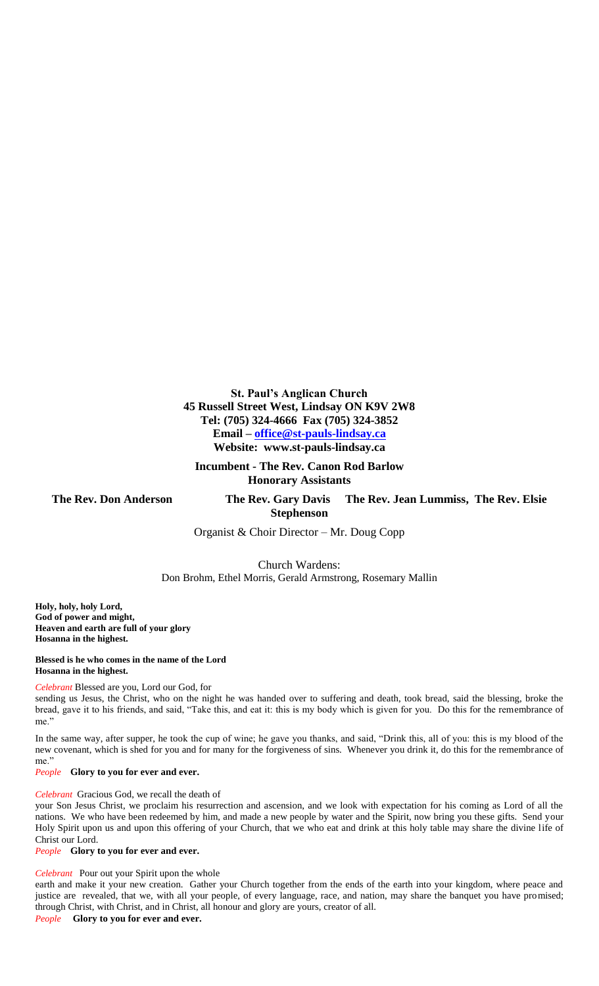## **St. Paul's Anglican Church 45 Russell Street West, Lindsay ON K9V 2W8 Tel: (705) 324-4666 Fax (705) 324-3852 Email – [office@st-pauls-lindsay.ca](mailto:office@st-pauls-lindsay.ca) Website: www.st-pauls-lindsay.ca**

## **Incumbent - The Rev. Canon Rod Barlow Honorary Assistants**

**The Rev. Don Anderson The Rev. Gary Davis The Rev. Jean Lummiss, The Rev. Elsie Stephenson**

Organist & Choir Director – Mr. Doug Copp

Church Wardens: Don Brohm, Ethel Morris, Gerald Armstrong, Rosemary Mallin

**Holy, holy, holy Lord, God of power and might, Heaven and earth are full of your glory Hosanna in the highest.**

**Blessed is he who comes in the name of the Lord Hosanna in the highest.**

#### *Celebrant* Blessed are you, Lord our God, for

sending us Jesus, the Christ, who on the night he was handed over to suffering and death, took bread, said the blessing, broke the bread, gave it to his friends, and said, "Take this, and eat it: this is my body which is given for you. Do this for the remembrance of me."

In the same way, after supper, he took the cup of wine; he gave you thanks, and said, "Drink this, all of you: this is my blood of the new covenant, which is shed for you and for many for the forgiveness of sins. Whenever you drink it, do this for the remembrance of me."

#### *People* **Glory to you for ever and ever.**

#### *Celebrant* Gracious God, we recall the death of

your Son Jesus Christ, we proclaim his resurrection and ascension, and we look with expectation for his coming as Lord of all the nations. We who have been redeemed by him, and made a new people by water and the Spirit, now bring you these gifts. Send your Holy Spirit upon us and upon this offering of your Church, that we who eat and drink at this holy table may share the divine life of Christ our Lord.

*People* **Glory to you for ever and ever.**

#### *Celebrant* Pour out your Spirit upon the whole

earth and make it your new creation. Gather your Church together from the ends of the earth into your kingdom, where peace and justice are revealed, that we, with all your people, of every language, race, and nation, may share the banquet you have promised; through Christ, with Christ, and in Christ, all honour and glory are yours, creator of all.

*People* **Glory to you for ever and ever.**